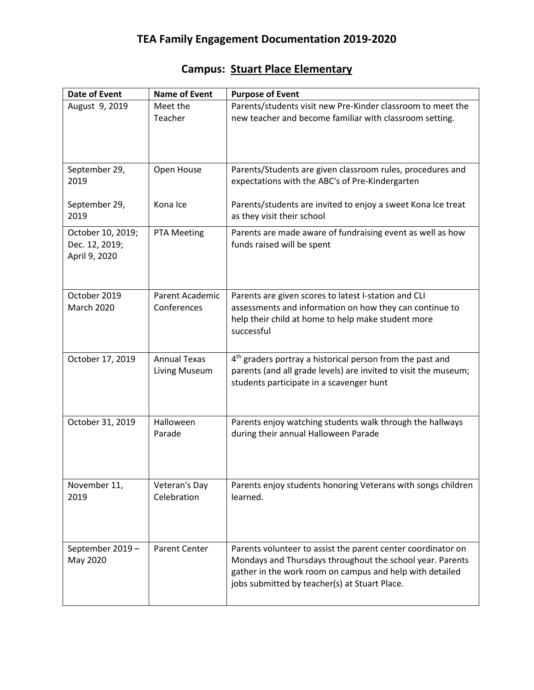## **Campus: Stuart Place Elementary**

| <b>Date of Event</b>                                 | <b>Name of Event</b>                 | <b>Purpose of Event</b>                                                                                                                                                                                                                |
|------------------------------------------------------|--------------------------------------|----------------------------------------------------------------------------------------------------------------------------------------------------------------------------------------------------------------------------------------|
| August 9, 2019                                       | Meet the<br>Teacher                  | Parents/students visit new Pre-Kinder classroom to meet the<br>new teacher and become familiar with classroom setting.                                                                                                                 |
| September 29,<br>2019                                | Open House                           | Parents/Students are given classroom rules, procedures and<br>expectations with the ABC's of Pre-Kindergarten                                                                                                                          |
| September 29,<br>2019                                | Kona Ice                             | Parents/students are invited to enjoy a sweet Kona Ice treat<br>as they visit their school                                                                                                                                             |
| October 10, 2019;<br>Dec. 12, 2019;<br>April 9, 2020 | PTA Meeting                          | Parents are made aware of fundraising event as well as how<br>funds raised will be spent                                                                                                                                               |
| October 2019<br><b>March 2020</b>                    | Parent Academic<br>Conferences       | Parents are given scores to latest I-station and CLI<br>assessments and information on how they can continue to<br>help their child at home to help make student more<br>successful                                                    |
| October 17, 2019                                     | <b>Annual Texas</b><br>Living Museum | 4 <sup>th</sup> graders portray a historical person from the past and<br>parents (and all grade levels) are invited to visit the museum;<br>students participate in a scavenger hunt                                                   |
| October 31, 2019                                     | Halloween<br>Parade                  | Parents enjoy watching students walk through the hallways<br>during their annual Halloween Parade                                                                                                                                      |
| November 11,<br>2019                                 | Veteran's Day<br>Celebration         | Parents enjoy students honoring Veterans with songs children<br>learned.                                                                                                                                                               |
| September 2019 -<br>May 2020                         | <b>Parent Center</b>                 | Parents volunteer to assist the parent center coordinator on<br>Mondays and Thursdays throughout the school year. Parents<br>gather in the work room on campus and help with detailed<br>jobs submitted by teacher(s) at Stuart Place. |